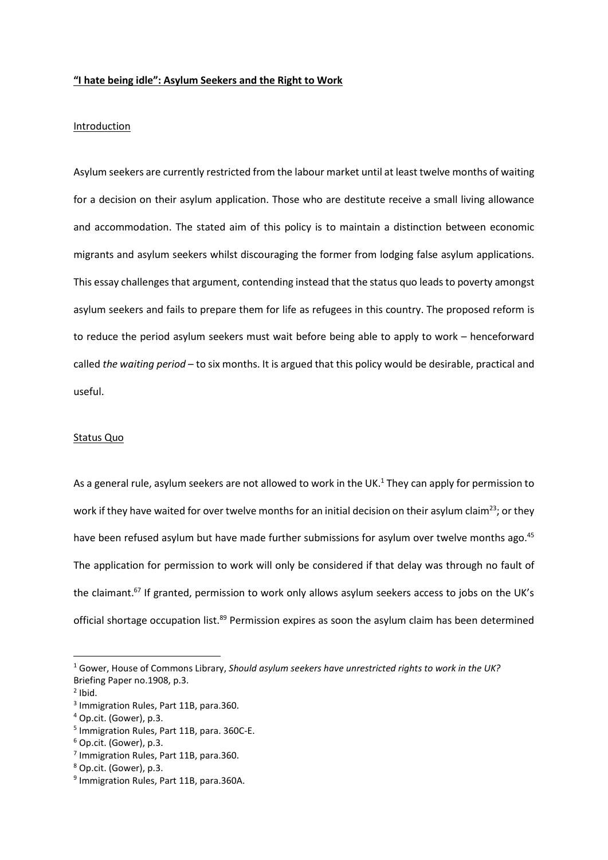#### "I hate being idle": Asylum Seekers and the Right to Work

# **Introduction**

Asylum seekers are currently restricted from the labour market until at least twelve months of waiting for a decision on their asylum application. Those who are destitute receive a small living allowance and accommodation. The stated aim of this policy is to maintain a distinction between economic migrants and asylum seekers whilst discouraging the former from lodging false asylum applications. This essay challenges that argument, contending instead that the status quo leads to poverty amongst asylum seekers and fails to prepare them for life as refugees in this country. The proposed reform is to reduce the period asylum seekers must wait before being able to apply to work – henceforward called the waiting period – to six months. It is argued that this policy would be desirable, practical and useful.

#### Status Quo

As a general rule, asylum seekers are not allowed to work in the UK. $1$  They can apply for permission to work if they have waited for over twelve months for an initial decision on their asylum claim<sup>23</sup>; or they have been refused asylum but have made further submissions for asylum over twelve months ago.<sup>45</sup> The application for permission to work will only be considered if that delay was through no fault of the claimant.<sup>67</sup> If granted, permission to work only allows asylum seekers access to jobs on the UK's official shortage occupation list.<sup>89</sup> Permission expires as soon the asylum claim has been determined

 $<sup>1</sup>$  Gower, House of Commons Library, Should asylum seekers have unrestricted rights to work in the UK?</sup> Briefing Paper no.1908, p.3.

 $2$  Ibid.

<sup>3</sup> Immigration Rules, Part 11B, para.360.

<sup>4</sup> Op.cit. (Gower), p.3.

<sup>5</sup> Immigration Rules, Part 11B, para. 360C-E.

<sup>6</sup> Op.cit. (Gower), p.3.

<sup>&</sup>lt;sup>7</sup> Immigration Rules, Part 11B, para.360.

<sup>8</sup> Op.cit. (Gower), p.3.

<sup>&</sup>lt;sup>9</sup> Immigration Rules, Part 11B, para.360A.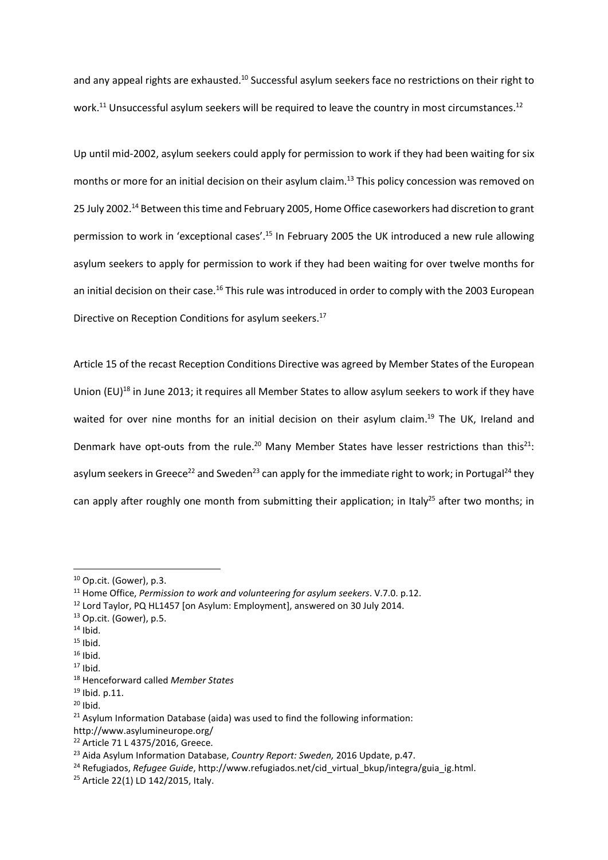and any appeal rights are exhausted.<sup>10</sup> Successful asylum seekers face no restrictions on their right to work.<sup>11</sup> Unsuccessful asylum seekers will be required to leave the country in most circumstances.<sup>12</sup>

Up until mid-2002, asylum seekers could apply for permission to work if they had been waiting for six months or more for an initial decision on their asylum claim.<sup>13</sup> This policy concession was removed on 25 July 2002.<sup>14</sup> Between this time and February 2005, Home Office caseworkers had discretion to grant permission to work in 'exceptional cases'.<sup>15</sup> In February 2005 the UK introduced a new rule allowing asylum seekers to apply for permission to work if they had been waiting for over twelve months for an initial decision on their case.<sup>16</sup> This rule was introduced in order to comply with the 2003 European Directive on Reception Conditions for asylum seekers.<sup>17</sup>

Article 15 of the recast Reception Conditions Directive was agreed by Member States of the European Union (EU)<sup>18</sup> in June 2013; it requires all Member States to allow asylum seekers to work if they have waited for over nine months for an initial decision on their asylum claim.<sup>19</sup> The UK, Ireland and Denmark have opt-outs from the rule.<sup>20</sup> Many Member States have lesser restrictions than this<sup>21</sup>: asylum seekers in Greece<sup>22</sup> and Sweden<sup>23</sup> can apply for the immediate right to work; in Portugal<sup>24</sup> they can apply after roughly one month from submitting their application; in Italy<sup>25</sup> after two months; in

- <sup>13</sup> Op.cit. (Gower), p.5.
- $14$  Ibid.

- $15$  Ibid.
- $16$  Ibid.

<sup>10</sup> Op.cit. (Gower), p.3.

 $11$  Home Office, Permission to work and volunteering for asylum seekers. V.7.0. p.12.

<sup>&</sup>lt;sup>12</sup> Lord Taylor, PQ HL1457 [on Asylum: Employment], answered on 30 July 2014.

 $17$  Ibid.

<sup>&</sup>lt;sup>18</sup> Henceforward called Member States

 $19$  Ibid. p.11.

 $20$  Ibid.

 $21$  Asylum Information Database (aida) was used to find the following information:

http://www.asylumineurope.org/

<sup>22</sup> Article 71 L 4375/2016, Greece.

<sup>&</sup>lt;sup>23</sup> Aida Asylum Information Database, Country Report: Sweden, 2016 Update, p.47.

<sup>&</sup>lt;sup>24</sup> Refugiados, Refugee Guide, http://www.refugiados.net/cid\_virtual\_bkup/integra/guia\_ig.html.

<sup>25</sup> Article 22(1) LD 142/2015, Italy.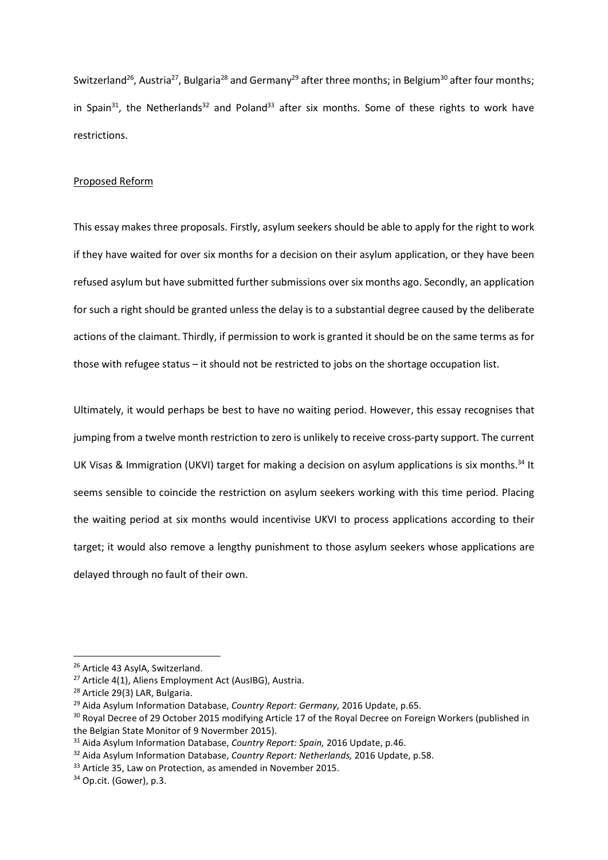Switzerland<sup>26</sup>, Austria<sup>27</sup>, Bulgaria<sup>28</sup> and Germany<sup>29</sup> after three months; in Belgium<sup>30</sup> after four months; in Spain<sup>31</sup>, the Netherlands<sup>32</sup> and Poland<sup>33</sup> after six months. Some of these rights to work have restrictions.

## Proposed Reform

This essay makes three proposals. Firstly, asylum seekers should be able to apply for the right to work if they have waited for over six months for a decision on their asylum application, or they have been refused asylum but have submitted further submissions over six months ago. Secondly, an application for such a right should be granted unless the delay is to a substantial degree caused by the deliberate actions of the claimant. Thirdly, if permission to work is granted it should be on the same terms as for those with refugee status – it should not be restricted to jobs on the shortage occupation list.

Ultimately, it would perhaps be best to have no waiting period. However, this essay recognises that jumping from a twelve month restriction to zero is unlikely to receive cross-party support. The current UK Visas & Immigration (UKVI) target for making a decision on asylum applications is six months.<sup>34</sup> It seems sensible to coincide the restriction on asylum seekers working with this time period. Placing the waiting period at six months would incentivise UKVI to process applications according to their target; it would also remove a lengthy punishment to those asylum seekers whose applications are delayed through no fault of their own.

<sup>&</sup>lt;sup>26</sup> Article 43 AsylA, Switzerland.

<sup>27</sup> Article 4(1), Aliens Employment Act (AusIBG), Austria.

<sup>28</sup> Article 29(3) LAR, Bulgaria.

<sup>&</sup>lt;sup>29</sup> Aida Asylum Information Database, Country Report: Germany, 2016 Update, p.65.

<sup>&</sup>lt;sup>30</sup> Royal Decree of 29 October 2015 modifying Article 17 of the Royal Decree on Foreign Workers (published in the Belgian State Monitor of 9 Novermber 2015).

<sup>&</sup>lt;sup>31</sup> Aida Asylum Information Database, Country Report: Spain, 2016 Update, p.46.

<sup>&</sup>lt;sup>32</sup> Aida Asylum Information Database, Country Report: Netherlands, 2016 Update, p.58.

<sup>&</sup>lt;sup>33</sup> Article 35, Law on Protection, as amended in November 2015.

<sup>34</sup> Op.cit. (Gower), p.3.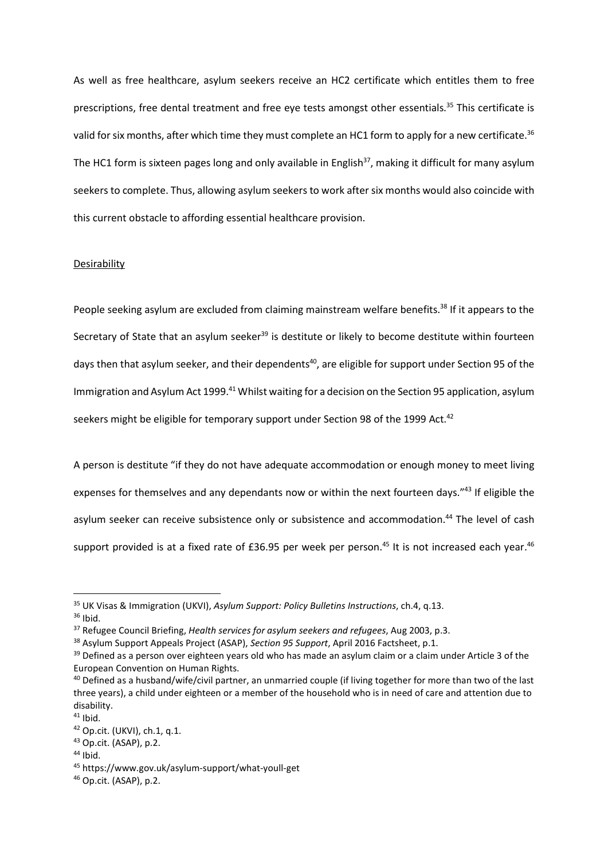As well as free healthcare, asylum seekers receive an HC2 certificate which entitles them to free prescriptions, free dental treatment and free eye tests amongst other essentials.<sup>35</sup> This certificate is valid for six months, after which time they must complete an HC1 form to apply for a new certificate.<sup>36</sup> The HC1 form is sixteen pages long and only available in English<sup>37</sup>, making it difficult for many asylum seekers to complete. Thus, allowing asylum seekers to work after six months would also coincide with this current obstacle to affording essential healthcare provision.

## Desirability

People seeking asylum are excluded from claiming mainstream welfare benefits.<sup>38</sup> If it appears to the Secretary of State that an asylum seeker<sup>39</sup> is destitute or likely to become destitute within fourteen days then that asylum seeker, and their dependents<sup>40</sup>, are eligible for support under Section 95 of the Immigration and Asylum Act 1999.<sup>41</sup> Whilst waiting for a decision on the Section 95 application, asylum seekers might be eligible for temporary support under Section 98 of the 1999 Act.<sup>42</sup>

A person is destitute "if they do not have adequate accommodation or enough money to meet living expenses for themselves and any dependants now or within the next fourteen days."<sup>43</sup> If eligible the asylum seeker can receive subsistence only or subsistence and accommodation.<sup>44</sup> The level of cash support provided is at a fixed rate of £36.95 per week per person.<sup>45</sup> It is not increased each year.<sup>46</sup>

-

 $44$  Ibid.

<sup>&</sup>lt;sup>35</sup> UK Visas & Immigration (UKVI), Asylum Support: Policy Bulletins Instructions, ch.4, q.13.  $36$  Ibid.

<sup>&</sup>lt;sup>37</sup> Refugee Council Briefing, Health services for asylum seekers and refugees, Aug 2003, p.3.

<sup>&</sup>lt;sup>38</sup> Asylum Support Appeals Project (ASAP), Section 95 Support, April 2016 Factsheet, p.1.

<sup>&</sup>lt;sup>39</sup> Defined as a person over eighteen years old who has made an asylum claim or a claim under Article 3 of the European Convention on Human Rights.

<sup>&</sup>lt;sup>40</sup> Defined as a husband/wife/civil partner, an unmarried couple (if living together for more than two of the last three years), a child under eighteen or a member of the household who is in need of care and attention due to disability.

 $41$  Ibid.

<sup>42</sup> Op.cit. (UKVI), ch.1, q.1.

<sup>43</sup> Op.cit. (ASAP), p.2.

<sup>45</sup> https://www.gov.uk/asylum-support/what-youll-get

<sup>46</sup> Op.cit. (ASAP), p.2.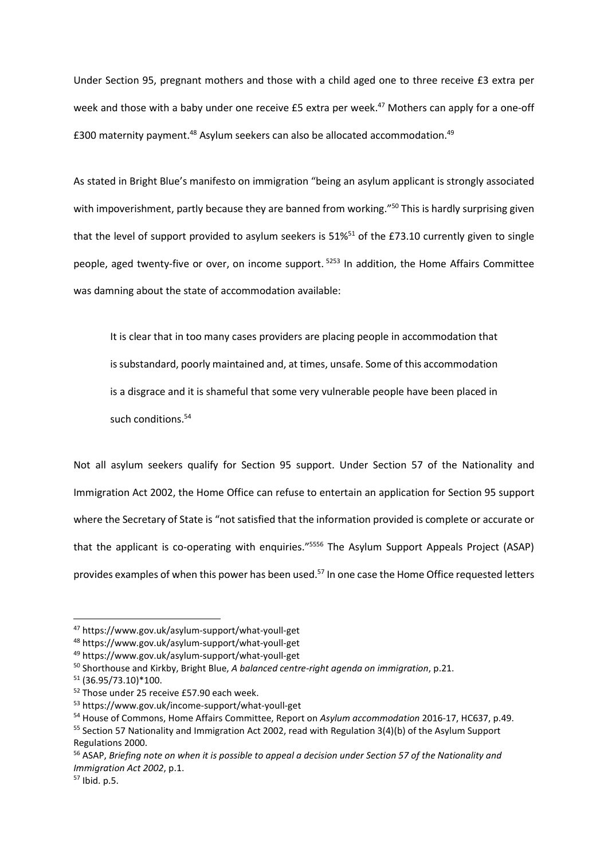Under Section 95, pregnant mothers and those with a child aged one to three receive £3 extra per week and those with a baby under one receive £5 extra per week.<sup>47</sup> Mothers can apply for a one-off £300 maternity payment.<sup>48</sup> Asylum seekers can also be allocated accommodation.<sup>49</sup>

As stated in Bright Blue's manifesto on immigration "being an asylum applicant is strongly associated with impoverishment, partly because they are banned from working."<sup>50</sup> This is hardly surprising given that the level of support provided to asylum seekers is  $51\%^{51}$  of the £73.10 currently given to single people, aged twenty-five or over, on income support.<sup>5253</sup> In addition, the Home Affairs Committee was damning about the state of accommodation available:

It is clear that in too many cases providers are placing people in accommodation that is substandard, poorly maintained and, at times, unsafe. Some of this accommodation is a disgrace and it is shameful that some very vulnerable people have been placed in such conditions.<sup>54</sup>

Not all asylum seekers qualify for Section 95 support. Under Section 57 of the Nationality and Immigration Act 2002, the Home Office can refuse to entertain an application for Section 95 support where the Secretary of State is "not satisfied that the information provided is complete or accurate or that the applicant is co-operating with enquiries."<sup>5556</sup> The Asylum Support Appeals Project (ASAP) provides examples of when this power has been used.<sup>57</sup> In one case the Home Office requested letters

<sup>47</sup> https://www.gov.uk/asylum-support/what-youll-get

<sup>48</sup> https://www.gov.uk/asylum-support/what-youll-get

<sup>49</sup> https://www.gov.uk/asylum-support/what-youll-get

 $50$  Shorthouse and Kirkby, Bright Blue, A balanced centre-right agenda on immigration, p.21.

<sup>51</sup> (36.95/73.10)\*100.

<sup>52</sup> Those under 25 receive £57.90 each week.

<sup>53</sup> https://www.gov.uk/income-support/what-youll-get

<sup>54</sup> House of Commons, Home Affairs Committee, Report on Asylum accommodation 2016-17, HC637, p.49.

 $55$  Section 57 Nationality and Immigration Act 2002, read with Regulation 3(4)(b) of the Asylum Support Regulations 2000.

<sup>&</sup>lt;sup>56</sup> ASAP, Briefing note on when it is possible to appeal a decision under Section 57 of the Nationality and Immigration Act 2002, p.1.

<sup>57</sup> Ibid. p.5.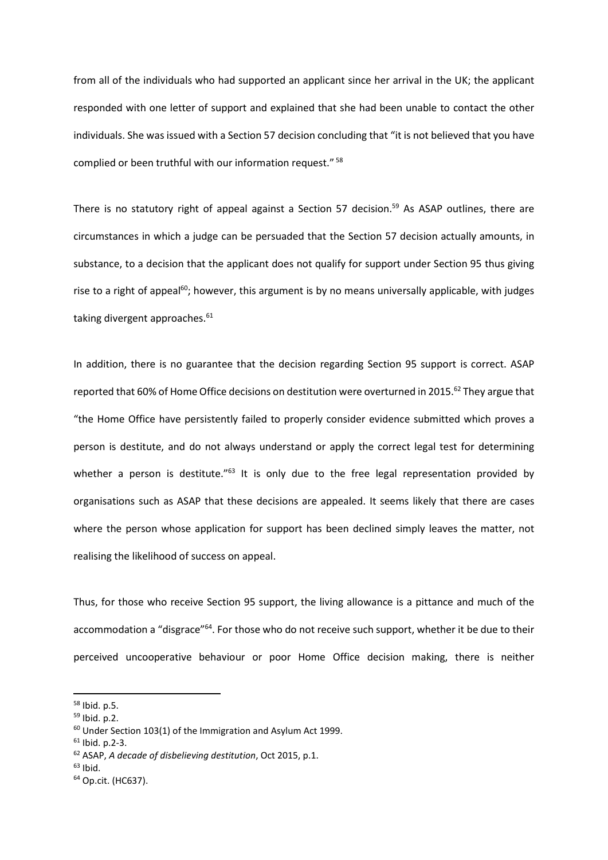from all of the individuals who had supported an applicant since her arrival in the UK; the applicant responded with one letter of support and explained that she had been unable to contact the other individuals. She was issued with a Section 57 decision concluding that "it is not believed that you have complied or been truthful with our information request."<sup>58</sup>

There is no statutory right of appeal against a Section 57 decision.<sup>59</sup> As ASAP outlines, there are circumstances in which a judge can be persuaded that the Section 57 decision actually amounts, in substance, to a decision that the applicant does not qualify for support under Section 95 thus giving rise to a right of appeal<sup>60</sup>; however, this argument is by no means universally applicable, with judges taking divergent approaches.<sup>61</sup>

In addition, there is no guarantee that the decision regarding Section 95 support is correct. ASAP reported that 60% of Home Office decisions on destitution were overturned in 2015.<sup>62</sup> They argue that "the Home Office have persistently failed to properly consider evidence submitted which proves a person is destitute, and do not always understand or apply the correct legal test for determining whether a person is destitute."<sup>63</sup> It is only due to the free legal representation provided by organisations such as ASAP that these decisions are appealed. It seems likely that there are cases where the person whose application for support has been declined simply leaves the matter, not realising the likelihood of success on appeal.

Thus, for those who receive Section 95 support, the living allowance is a pittance and much of the accommodation a "disgrace"<sup>64</sup>. For those who do not receive such support, whether it be due to their perceived uncooperative behaviour or poor Home Office decision making, there is neither

<sup>58</sup> Ibid. p.5.

<sup>59</sup> Ibid. p.2.

<sup>&</sup>lt;sup>60</sup> Under Section 103(1) of the Immigration and Asylum Act 1999.

 $61$  Ibid. p. 2-3.

<sup>62</sup> ASAP, A decade of disbelieving destitution, Oct 2015, p.1.

 $63$  Ibid.

<sup>64</sup> Op.cit. (HC637).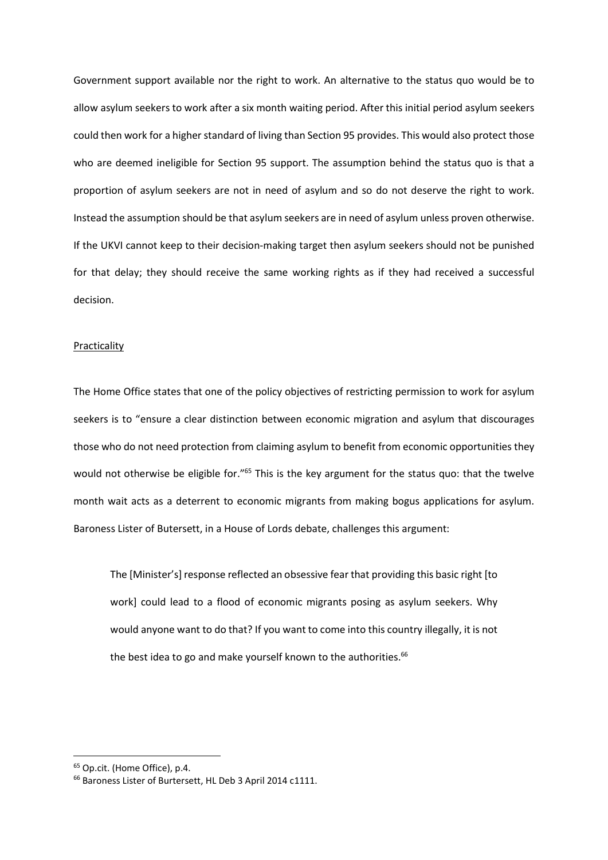Government support available nor the right to work. An alternative to the status quo would be to allow asylum seekers to work after a six month waiting period. After this initial period asylum seekers could then work for a higher standard of living than Section 95 provides. This would also protect those who are deemed ineligible for Section 95 support. The assumption behind the status quo is that a proportion of asylum seekers are not in need of asylum and so do not deserve the right to work. Instead the assumption should be that asylum seekers are in need of asylum unless proven otherwise. If the UKVI cannot keep to their decision-making target then asylum seekers should not be punished for that delay; they should receive the same working rights as if they had received a successful decision.

#### Practicality

The Home Office states that one of the policy objectives of restricting permission to work for asylum seekers is to "ensure a clear distinction between economic migration and asylum that discourages those who do not need protection from claiming asylum to benefit from economic opportunities they would not otherwise be eligible for."<sup>65</sup> This is the key argument for the status quo: that the twelve month wait acts as a deterrent to economic migrants from making bogus applications for asylum. Baroness Lister of Butersett, in a House of Lords debate, challenges this argument:

The [Minister's] response reflected an obsessive fear that providing this basic right [to work] could lead to a flood of economic migrants posing as asylum seekers. Why would anyone want to do that? If you want to come into this country illegally, it is not the best idea to go and make yourself known to the authorities.<sup>66</sup>

<sup>65</sup> Op.cit. (Home Office), p.4.

<sup>66</sup> Baroness Lister of Burtersett, HL Deb 3 April 2014 c1111.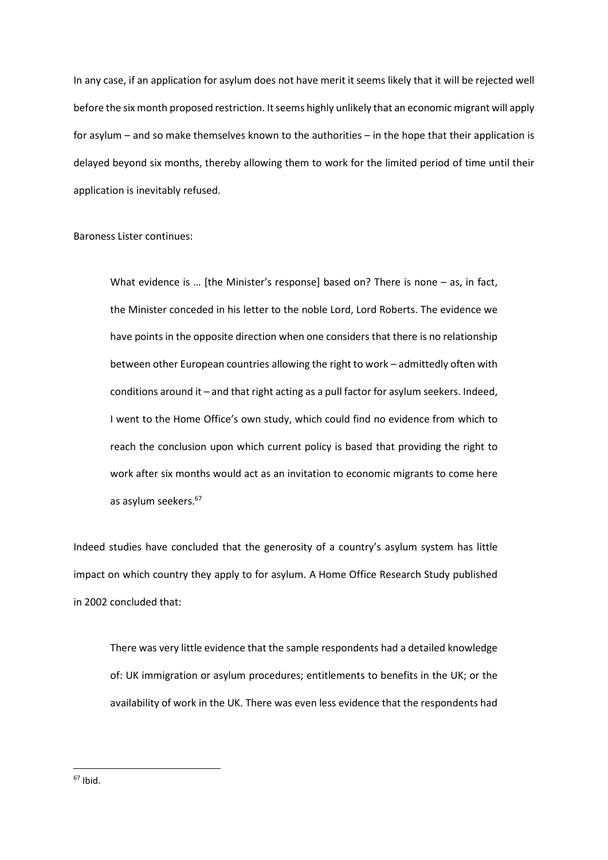In any case, if an application for asylum does not have merit it seems likely that it will be rejected well before the six month proposed restriction. It seems highly unlikely that an economic migrant will apply for asylum – and so make themselves known to the authorities – in the hope that their application is delayed beyond six months, thereby allowing them to work for the limited period of time until their application is inevitably refused.

Baroness Lister continues:

What evidence is ... [the Minister's response] based on? There is none – as, in fact, the Minister conceded in his letter to the noble Lord, Lord Roberts. The evidence we have points in the opposite direction when one considers that there is no relationship between other European countries allowing the right to work – admittedly often with conditions around it – and that right acting as a pull factor for asylum seekers. Indeed, I went to the Home Office's own study, which could find no evidence from which to reach the conclusion upon which current policy is based that providing the right to work after six months would act as an invitation to economic migrants to come here as asylum seekers.<sup>67</sup>

Indeed studies have concluded that the generosity of a country's asylum system has little impact on which country they apply to for asylum. A Home Office Research Study published in 2002 concluded that:

There was very little evidence that the sample respondents had a detailed knowledge of: UK immigration or asylum procedures; entitlements to benefits in the UK; or the availability of work in the UK. There was even less evidence that the respondents had

 $67$  Ibid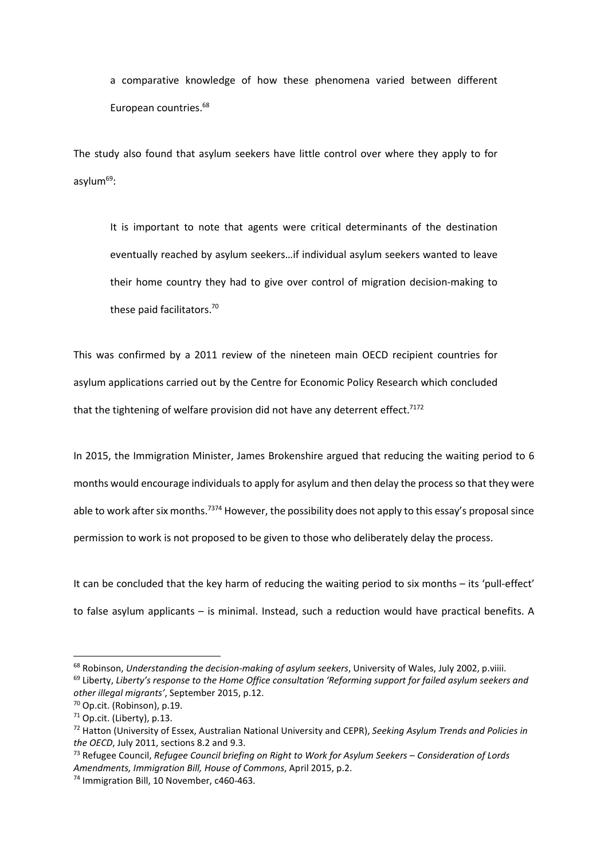a comparative knowledge of how these phenomena varied between different European countries.<sup>68</sup>

The study also found that asylum seekers have little control over where they apply to for asylum $^{69}$ :

It is important to note that agents were critical determinants of the destination eventually reached by asylum seekers…if individual asylum seekers wanted to leave their home country they had to give over control of migration decision-making to these paid facilitators.<sup>70</sup>

This was confirmed by a 2011 review of the nineteen main OECD recipient countries for asylum applications carried out by the Centre for Economic Policy Research which concluded that the tightening of welfare provision did not have any deterrent effect.<sup>7172</sup>

In 2015, the Immigration Minister, James Brokenshire argued that reducing the waiting period to 6 months would encourage individuals to apply for asylum and then delay the process so that they were able to work after six months.<sup>7374</sup> However, the possibility does not apply to this essay's proposal since permission to work is not proposed to be given to those who deliberately delay the process.

It can be concluded that the key harm of reducing the waiting period to six months – its 'pull-effect' to false asylum applicants – is minimal. Instead, such a reduction would have practical benefits. A

<sup>&</sup>lt;sup>68</sup> Robinson, Understanding the decision-making of asylum seekers, University of Wales, July 2002, p.viiii.  $69$  Liberty, Liberty's response to the Home Office consultation 'Reforming support for failed asylum seekers and other illegal migrants', September 2015, p.12.

<sup>70</sup> Op.cit. (Robinson), p.19.

 $71$  Op.cit. (Liberty), p.13.

<sup>&</sup>lt;sup>72</sup> Hatton (University of Essex, Australian National University and CEPR), Seeking Asylum Trends and Policies in the OECD, July 2011, sections 8.2 and 9.3.

<sup>&</sup>lt;sup>73</sup> Refugee Council, Refugee Council briefing on Right to Work for Asylum Seekers – Consideration of Lords Amendments, Immigration Bill, House of Commons, April 2015, p.2.

<sup>74</sup> Immigration Bill, 10 November, c460-463.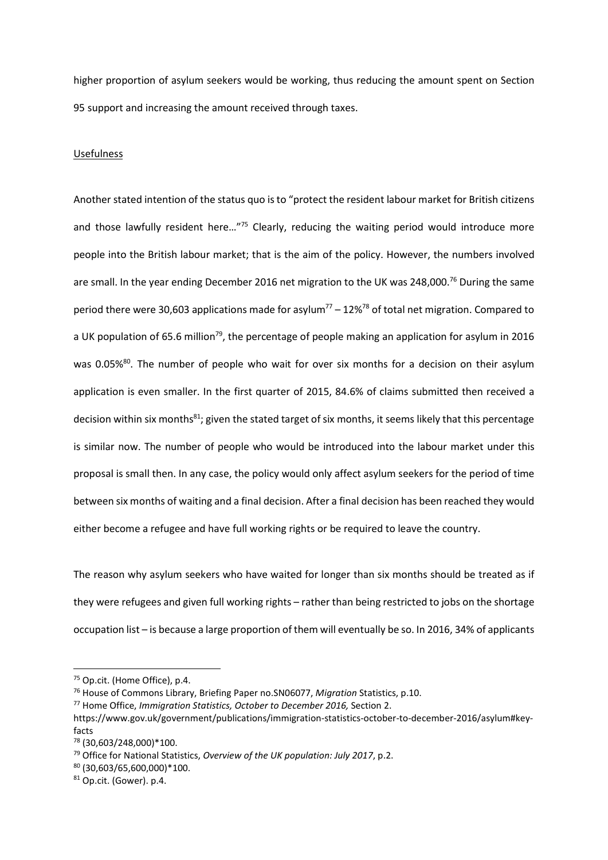higher proportion of asylum seekers would be working, thus reducing the amount spent on Section 95 support and increasing the amount received through taxes.

## Usefulness

Another stated intention of the status quo is to "protect the resident labour market for British citizens and those lawfully resident here..."<sup>75</sup> Clearly, reducing the waiting period would introduce more people into the British labour market; that is the aim of the policy. However, the numbers involved are small. In the year ending December 2016 net migration to the UK was 248,000.<sup>76</sup> During the same period there were 30,603 applications made for asylum<sup>77</sup> – 12%<sup>78</sup> of total net migration. Compared to a UK population of 65.6 million<sup>79</sup>, the percentage of people making an application for asylum in 2016 was 0.05%<sup>80</sup>. The number of people who wait for over six months for a decision on their asylum application is even smaller. In the first quarter of 2015, 84.6% of claims submitted then received a decision within six months<sup>81</sup>; given the stated target of six months, it seems likely that this percentage is similar now. The number of people who would be introduced into the labour market under this proposal is small then. In any case, the policy would only affect asylum seekers for the period of time between six months of waiting and a final decision. After a final decision has been reached they would either become a refugee and have full working rights or be required to leave the country.

The reason why asylum seekers who have waited for longer than six months should be treated as if they were refugees and given full working rights – rather than being restricted to jobs on the shortage occupation list – is because a large proportion of them will eventually be so. In 2016, 34% of applicants

-

<sup>77</sup> Home Office, Immigration Statistics, October to December 2016, Section 2.

<sup>75</sup> Op.cit. (Home Office), p.4.

<sup>76</sup> House of Commons Library, Briefing Paper no.SN06077, Migration Statistics, p.10.

https://www.gov.uk/government/publications/immigration-statistics-october-to-december-2016/asylum#keyfacts

<sup>78</sup> (30,603/248,000)\*100.

 $^{79}$  Office for National Statistics, Overview of the UK population: July 2017, p.2.

<sup>80</sup> (30,603/65,600,000)\*100.

<sup>81</sup> Op.cit. (Gower). p.4.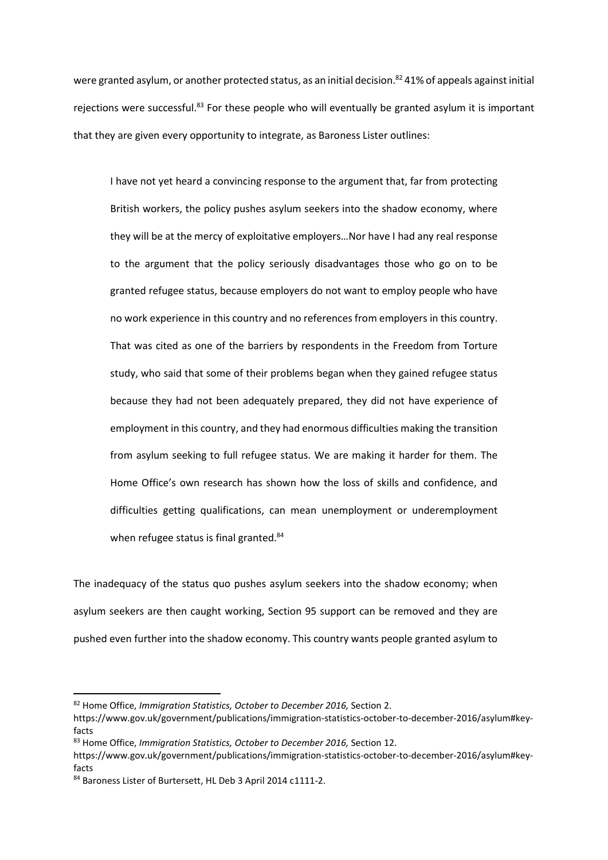were granted asylum, or another protected status, as an initial decision.<sup>82</sup> 41% of appeals against initial rejections were successful.<sup>83</sup> For these people who will eventually be granted asylum it is important that they are given every opportunity to integrate, as Baroness Lister outlines:

I have not yet heard a convincing response to the argument that, far from protecting British workers, the policy pushes asylum seekers into the shadow economy, where they will be at the mercy of exploitative employers…Nor have I had any real response to the argument that the policy seriously disadvantages those who go on to be granted refugee status, because employers do not want to employ people who have no work experience in this country and no references from employers in this country. That was cited as one of the barriers by respondents in the Freedom from Torture study, who said that some of their problems began when they gained refugee status because they had not been adequately prepared, they did not have experience of employment in this country, and they had enormous difficulties making the transition from asylum seeking to full refugee status. We are making it harder for them. The Home Office's own research has shown how the loss of skills and confidence, and difficulties getting qualifications, can mean unemployment or underemployment when refugee status is final granted.<sup>84</sup>

The inadequacy of the status quo pushes asylum seekers into the shadow economy; when asylum seekers are then caught working, Section 95 support can be removed and they are pushed even further into the shadow economy. This country wants people granted asylum to

<sup>82</sup> Home Office, Immigration Statistics, October to December 2016, Section 2.

https://www.gov.uk/government/publications/immigration-statistics-october-to-december-2016/asylum#keyfacts

<sup>83</sup> Home Office, Immigration Statistics, October to December 2016, Section 12.

https://www.gov.uk/government/publications/immigration-statistics-october-to-december-2016/asylum#keyfacts

<sup>84</sup> Baroness Lister of Burtersett. HL Deb 3 April 2014 c1111-2.